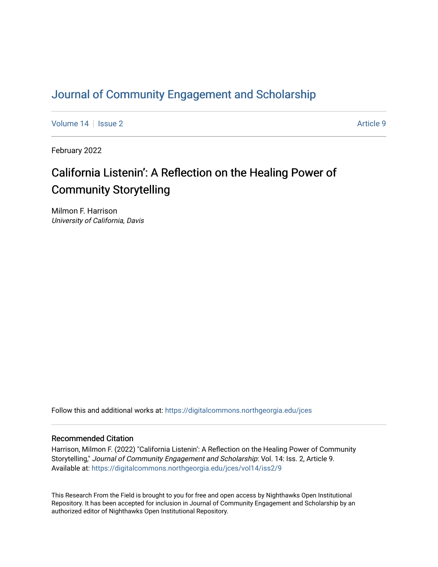# [Journal of Community Engagement and Scholarship](https://digitalcommons.northgeorgia.edu/jces)

[Volume 14](https://digitalcommons.northgeorgia.edu/jces/vol14) | [Issue 2](https://digitalcommons.northgeorgia.edu/jces/vol14/iss2) Article 9

February 2022

# California Listenin': A Reflection on the Healing Power of Community Storytelling

Milmon F. Harrison University of California, Davis

Follow this and additional works at: [https://digitalcommons.northgeorgia.edu/jces](https://digitalcommons.northgeorgia.edu/jces?utm_source=digitalcommons.northgeorgia.edu%2Fjces%2Fvol14%2Fiss2%2F9&utm_medium=PDF&utm_campaign=PDFCoverPages)

## Recommended Citation

Harrison, Milmon F. (2022) "California Listenin': A Reflection on the Healing Power of Community Storytelling," Journal of Community Engagement and Scholarship: Vol. 14: Iss. 2, Article 9. Available at: [https://digitalcommons.northgeorgia.edu/jces/vol14/iss2/9](https://digitalcommons.northgeorgia.edu/jces/vol14/iss2/9?utm_source=digitalcommons.northgeorgia.edu%2Fjces%2Fvol14%2Fiss2%2F9&utm_medium=PDF&utm_campaign=PDFCoverPages) 

This Research From the Field is brought to you for free and open access by Nighthawks Open Institutional Repository. It has been accepted for inclusion in Journal of Community Engagement and Scholarship by an authorized editor of Nighthawks Open Institutional Repository.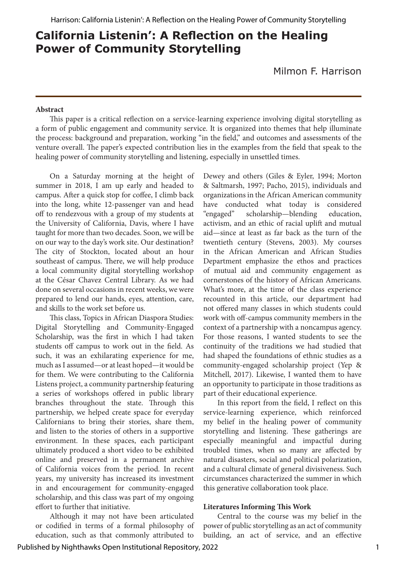Milmon F. Harrison

#### **Abstract**

This paper is a critical reflection on a service-learning experience involving digital storytelling as a form of public engagement and community service. It is organized into themes that help illuminate the process: background and preparation, working "in the field," and outcomes and assessments of the venture overall. The paper's expected contribution lies in the examples from the field that speak to the healing power of community storytelling and listening, especially in unsettled times.

On a Saturday morning at the height of summer in 2018, I am up early and headed to campus. After a quick stop for coffee, I climb back into the long, white 12-passenger van and head off to rendezvous with a group of my students at the University of California, Davis, where I have taught for more than two decades. Soon, we will be on our way to the day's work site. Our destination? The city of Stockton, located about an hour southeast of campus. There, we will help produce a local community digital storytelling workshop at the César Chavez Central Library. As we had done on several occasions in recent weeks, we were prepared to lend our hands, eyes, attention, care, and skills to the work set before us.

This class, Topics in African Diaspora Studies: Digital Storytelling and Community-Engaged Scholarship, was the first in which I had taken students off campus to work out in the field. As such, it was an exhilarating experience for me, much as I assumed—or at least hoped—it would be for them. We were contributing to the California Listens project, a community partnership featuring a series of workshops offered in public library branches throughout the state. Through this partnership, we helped create space for everyday Californians to bring their stories, share them, and listen to the stories of others in a supportive environment. In these spaces, each participant ultimately produced a short video to be exhibited online and preserved in a permanent archive of California voices from the period. In recent years, my university has increased its investment in and encouragement for community-engaged scholarship, and this class was part of my ongoing effort to further that initiative.

Although it may not have been articulated or codified in terms of a formal philosophy of education, such as that commonly attributed to Dewey and others (Giles & Eyler, 1994; Morton & Saltmarsh, 1997; Pacho, 2015), individuals and organizations in the African American community have conducted what today is considered "engaged" scholarship—blending education, activism, and an ethic of racial uplift and mutual aid—since at least as far back as the turn of the twentieth century (Stevens, 2003). My courses in the African American and African Studies Department emphasize the ethos and practices of mutual aid and community engagement as cornerstones of the history of African Americans. What's more, at the time of the class experience recounted in this article, our department had not offered many classes in which students could work with off-campus community members in the context of a partnership with a noncampus agency. For those reasons, I wanted students to see the continuity of the traditions we had studied that had shaped the foundations of ethnic studies as a community-engaged scholarship project (Yep & Mitchell, 2017). Likewise, I wanted them to have an opportunity to participate in those traditions as part of their educational experience.

In this report from the field, I reflect on this service-learning experience, which reinforced my belief in the healing power of community storytelling and listening. These gatherings are especially meaningful and impactful during troubled times, when so many are affected by natural disasters, social and political polarization, and a cultural climate of general divisiveness. Such circumstances characterized the summer in which this generative collaboration took place.

#### **Literatures Informing This Work**

Central to the course was my belief in the power of public storytelling as an act of community building, an act of service, and an effective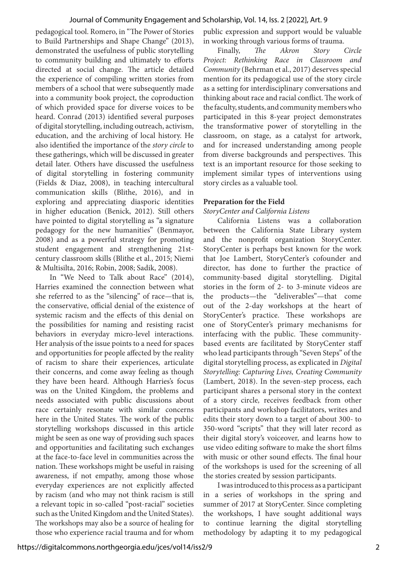#### Journal of Community Engagement and Scholarship, Vol. 14, Iss. 2 [2022], Art. 9

pedagogical tool. Romero, in "The Power of Stories to Build Partnerships and Shape Change" (2013), demonstrated the usefulness of public storytelling to community building and ultimately to efforts directed at social change. The article detailed the experience of compiling written stories from members of a school that were subsequently made into a community book project, the coproduction of which provided space for diverse voices to be heard. Conrad (2013) identified several purposes of digital storytelling, including outreach, activism, education, and the archiving of local history. He also identified the importance of the *story circle* to these gatherings, which will be discussed in greater detail later. Others have discussed the usefulness of digital storytelling in fostering community (Fields & Diaz, 2008), in teaching intercultural communication skills (Blithe, 2016), and in exploring and appreciating diasporic identities in higher education (Benick, 2012). Still others have pointed to digital storytelling as "a signature pedagogy for the new humanities" (Benmayor, 2008) and as a powerful strategy for promoting student engagement and strengthening 21stcentury classroom skills (Blithe et al., 2015; Niemi & Multisilta, 2016; Robin, 2008; Sadik, 2008).

In "We Need to Talk about Race" (2014), Harries examined the connection between what she referred to as the "silencing" of race—that is, the conservative, official denial of the existence of systemic racism and the effects of this denial on the possibilities for naming and resisting racist behaviors in everyday micro-level interactions. Her analysis of the issue points to a need for spaces and opportunities for people affected by the reality of racism to share their experiences, articulate their concerns, and come away feeling as though they have been heard. Although Harries's focus was on the United Kingdom, the problems and needs associated with public discussions about race certainly resonate with similar concerns here in the United States. The work of the public storytelling workshops discussed in this article might be seen as one way of providing such spaces and opportunities and facilitating such exchanges at the face-to-face level in communities across the nation. These workshops might be useful in raising awareness, if not empathy, among those whose everyday experiences are not explicitly affected by racism (and who may not think racism is still a relevant topic in so-called "post-racial" societies such as the United Kingdom and the United States). The workshops may also be a source of healing for those who experience racial trauma and for whom

public expression and support would be valuable in working through various forms of trauma.

Finally, *The Akron Story Circle Project: Rethinking Race in Classroom and Community* (Behrman et al., 2017) deserves special mention for its pedagogical use of the story circle as a setting for interdisciplinary conversations and thinking about race and racial conflict. The work of the faculty, students, and community members who participated in this 8-year project demonstrates the transformative power of storytelling in the classroom, on stage, as a catalyst for artwork, and for increased understanding among people from diverse backgrounds and perspectives. This text is an important resource for those seeking to implement similar types of interventions using story circles as a valuable tool.

#### **Preparation for the Field**

#### *StoryCenter and California Listens*

California Listens was a collaboration between the California State Library system and the nonprofit organization StoryCenter. StoryCenter is perhaps best known for the work that Joe Lambert, StoryCenter's cofounder and director, has done to further the practice of community-based digital storytelling. Digital stories in the form of 2- to 3-minute videos are the products—the "deliverables"—that come out of the 2-day workshops at the heart of StoryCenter's practice. These workshops are one of StoryCenter's primary mechanisms for interfacing with the public. These communitybased events are facilitated by StoryCenter staff who lead participants through "Seven Steps" of the digital storytelling process, as explicated in *Digital Storytelling: Capturing Lives, Creating Community* (Lambert, 2018). In the seven-step process, each participant shares a personal story in the context of a story circle*,* receives feedback from other participants and workshop facilitators, writes and edits their story down to a target of about 300- to 350-word "scripts" that they will later record as their digital story's voiceover, and learns how to use video editing software to make the short films with music or other sound effects. The final hour of the workshops is used for the screening of all the stories created by session participants.

I was introduced to this process as a participant in a series of workshops in the spring and summer of 2017 at StoryCenter. Since completing the workshops, I have sought additional ways to continue learning the digital storytelling methodology by adapting it to my pedagogical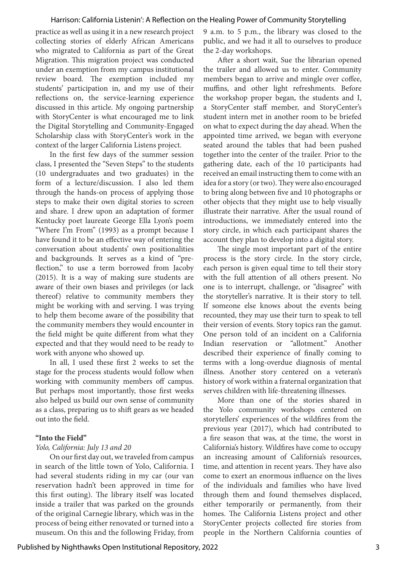practice as well as using it in a new research project collecting stories of elderly African Americans who migrated to California as part of the Great Migration. This migration project was conducted under an exemption from my campus institutional review board. The exemption included my students' participation in, and my use of their reflections on, the service-learning experience discussed in this article. My ongoing partnership with StoryCenter is what encouraged me to link the Digital Storytelling and Community-Engaged Scholarship class with StoryCenter's work in the context of the larger California Listens project.

In the first few days of the summer session class, I presented the "Seven Steps" to the students (10 undergraduates and two graduates) in the form of a lecture/discussion. I also led them through the hands-on process of applying those steps to make their own digital stories to screen and share. I drew upon an adaptation of former Kentucky poet laureate George Ella Lyon's poem "Where I'm From" (1993) as a prompt because I have found it to be an effective way of entering the conversation about students' own positionalities and backgrounds. It serves as a kind of "preflection," to use a term borrowed from Jacoby (2015). It is a way of making sure students are aware of their own biases and privileges (or lack thereof) relative to community members they might be working with and serving. I was trying to help them become aware of the possibility that the community members they would encounter in the field might be quite different from what they expected and that they would need to be ready to work with anyone who showed up.

In all, I used these first 2 weeks to set the stage for the process students would follow when working with community members off campus. But perhaps most importantly, those first weeks also helped us build our own sense of community as a class, preparing us to shift gears as we headed out into the field.

#### **"Into the Field"**

#### *Yolo, California: July 13 and 20*

On our first day out, we traveled from campus in search of the little town of Yolo, California. I had several students riding in my car (our van reservation hadn't been approved in time for this first outing). The library itself was located inside a trailer that was parked on the grounds of the original Carnegie library, which was in the process of being either renovated or turned into a museum. On this and the following Friday, from 9 a.m. to 5 p.m., the library was closed to the public, and we had it all to ourselves to produce the 2-day workshops.

After a short wait, Sue the librarian opened the trailer and allowed us to enter. Community members began to arrive and mingle over coffee, muffins, and other light refreshments. Before the workshop proper began, the students and I, a StoryCenter staff member, and StoryCenter's student intern met in another room to be briefed on what to expect during the day ahead. When the appointed time arrived, we began with everyone seated around the tables that had been pushed together into the center of the trailer. Prior to the gathering date, each of the 10 participants had received an email instructing them to come with an idea for a story (or two). They were also encouraged to bring along between five and 10 photographs or other objects that they might use to help visually illustrate their narrative. After the usual round of introductions, we immediately entered into the story circle, in which each participant shares the account they plan to develop into a digital story.

The single most important part of the entire process is the story circle. In the story circle, each person is given equal time to tell their story with the full attention of all others present. No one is to interrupt, challenge, or "disagree" with the storyteller's narrative. It is their story to tell. If someone else knows about the events being recounted, they may use their turn to speak to tell their version of events. Story topics ran the gamut. One person told of an incident on a California Indian reservation or "allotment." Another described their experience of finally coming to terms with a long-overdue diagnosis of mental illness. Another story centered on a veteran's history of work within a fraternal organization that serves children with life-threatening illnesses.

More than one of the stories shared in the Yolo community workshops centered on storytellers' experiences of the wildfires from the previous year (2017), which had contributed to a fire season that was, at the time, the worst in California's history. Wildfires have come to occupy an increasing amount of California's resources, time, and attention in recent years. They have also come to exert an enormous influence on the lives of the individuals and families who have lived through them and found themselves displaced, either temporarily or permanently, from their homes. The California Listens project and other StoryCenter projects collected fire stories from people in the Northern California counties of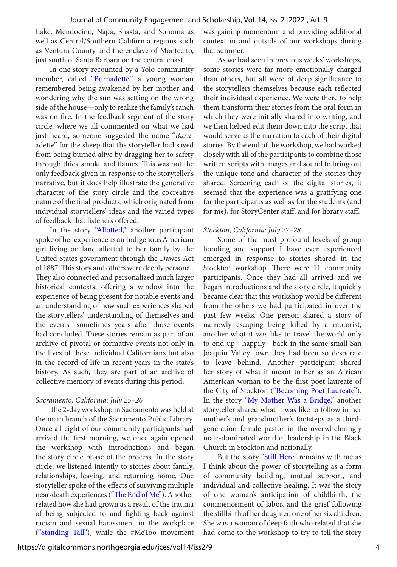Lake, Mendocino, Napa, Shasta, and Sonoma as well as Central/Southern California regions such as Ventura County and the enclave of Montecito, just south of Santa Barbara on the central coast.

In one story recounted by a Yolo community member, called ["Burnadette,"](https://archive.org/details/cabesc_000394) a young woman remembered being awakened by her mother and wondering why the sun was setting on the wrong side of the house—only to realize the family's ranch was on fire. In the feedback segment of the story circle*,* where we all commented on what we had just heard, someone suggested the name "*Burn*adette" for the sheep that the storyteller had saved from being burned alive by dragging her to safety through thick smoke and flames. This was not the only feedback given in response to the storyteller's narrative, but it does help illustrate the generative character of the story circle and the cocreative nature of the final products, which originated from individual storytellers' ideas and the varied types of feedback that listeners offered.

In the story ["Allotted,"](https://archive.org/details/cabesc_000392) another participant spoke of her experience as an Indigenous American girl living on land allotted to her family by the United States government through the Dawes Act of 1887. This story and others were deeply personal. They also connected and personalized much larger historical contexts, offering a window into the experience of being present for notable events and an understanding of how such experiences shaped the storytellers' understanding of themselves and the events—sometimes years after those events had concluded. These stories remain as part of an archive of pivotal or formative events not only in the lives of these individual Californians but also in the record of life in recent years in the state's history. As such, they are part of an archive of collective memory of events during this period.

### *Sacramento, California: July 25–26*

The 2-day workshop in Sacramento was held at the main branch of the Sacramento Public Library. Once all eight of our community participants had arrived the first morning, we once again opened the workshop with introductions and began the story circle phase of the process. In the story circle, we listened intently to stories about family, relationships, leaving, and returning home. One storyteller spoke of the effects of surviving multiple near-death experiences [\("The End of Me"](https://archive.org/details/cabesc_000340)). Another related how she had grown as a result of the trauma of being subjected to and fighting back against racism and sexual harassment in the workplace [\("Standing Tall"\)](https://archive.org/details/cabesc_000338), while the #MeToo movement was gaining momentum and providing additional context in and outside of our workshops during that summer.

As we had seen in previous weeks' workshops, some stories were far more emotionally charged than others, but all were of deep significance to the storytellers themselves because each reflected their individual experience. We were there to help them transform their stories from the oral form in which they were initially shared into writing, and we then helped edit them down into the script that would serve as the narration to each of their digital stories. By the end of the workshop, we had worked closely with all of the participants to combine those written scripts with images and sound to bring out the unique tone and character of the stories they shared. Screening each of the digital stories, it seemed that the experience was a gratifying one for the participants as well as for the students (and for me), for StoryCenter staff, and for library staff.

#### *Stockton, California: July 27–28*

Some of the most profound levels of group bonding and support I have ever experienced emerged in response to stories shared in the Stockton workshop. There were 11 community participants. Once they had all arrived and we began introductions and the story circle, it quickly became clear that this workshop would be different from the others we had participated in over the past few weeks. One person shared a story of narrowly escaping being killed by a motorist, another what it was like to travel the world only to end up—happily—back in the same small San Joaquin Valley town they had been so desperate to leave behind. Another participant shared her story of what it meant to her as an African American woman to be the first poet laureate of the City of Stockton (["Becoming Poet Laureate"](https://archive.org/details/cabesc_000376)). In the story ["My Mother Was a Bridge,"](https://archive.org/details/cabesc_000383) another storyteller shared what it was like to follow in her mother's and grandmother's footsteps as a thirdgeneration female pastor in the overwhelmingly male-dominated world of leadership in the Black Church in Stockton and nationally.

But the story ["Still Here"](https://archive.org/details/cabesc_000384) remains with me as I think about the power of storytelling as a form of community building, mutual support, and individual and collective healing. It was the story of one woman's anticipation of childbirth, the commencement of labor, and the grief following the stillbirth of her daughter, one of her six children. She was a woman of deep faith who related that she had come to the workshop to try to tell the story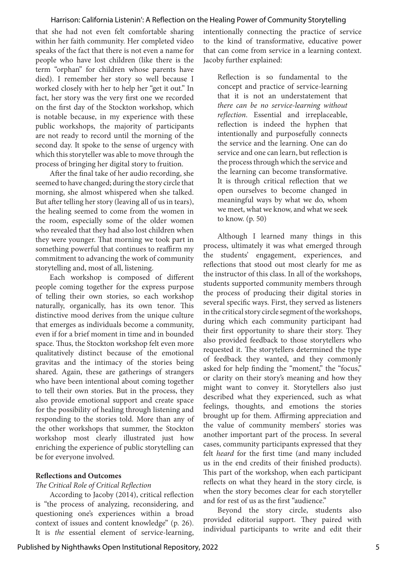that she had not even felt comfortable sharing within her faith community. Her completed video speaks of the fact that there is not even a name for people who have lost children (like there is the term "orphan" for children whose parents have died). I remember her story so well because I worked closely with her to help her "get it out." In fact, her story was the very first one we recorded on the first day of the Stockton workshop, which is notable because, in my experience with these public workshops, the majority of participants are not ready to record until the morning of the second day. It spoke to the sense of urgency with which this storyteller was able to move through the process of bringing her digital story to fruition.

After the final take of her audio recording, she seemed to have changed; during the story circle that morning, she almost whispered when she talked. But after telling her story (leaving all of us in tears), the healing seemed to come from the women in the room, especially some of the older women who revealed that they had also lost children when they were younger. That morning we took part in something powerful that continues to reaffirm my commitment to advancing the work of community storytelling and, most of all, listening.

Each workshop is composed of different people coming together for the express purpose of telling their own stories, so each workshop naturally, organically, has its own tenor. This distinctive mood derives from the unique culture that emerges as individuals become a community, even if for a brief moment in time and in bounded space. Thus, the Stockton workshop felt even more qualitatively distinct because of the emotional gravitas and the intimacy of the stories being shared. Again, these are gatherings of strangers who have been intentional about coming together to tell their own stories. But in the process, they also provide emotional support and create space for the possibility of healing through listening and responding to the stories told. More than any of the other workshops that summer, the Stockton workshop most clearly illustrated just how enriching the experience of public storytelling can be for everyone involved.

#### **Reflections and Outcomes**

#### *The Critical Role of Critical Reflection*

According to Jacoby (2014), critical reflection is "the process of analyzing, reconsidering, and questioning one's experiences within a broad context of issues and content knowledge" (p. 26). It is *the* essential element of service-learning, intentionally connecting the practice of service to the kind of transformative, educative power that can come from service in a learning context. Jacoby further explained:

Reflection is so fundamental to the concept and practice of service-learning that it is not an understatement that *there can be no service-learning without reflection*. Essential and irreplaceable, reflection is indeed the hyphen that intentionally and purposefully connects the service and the learning. One can do service and one can learn, but reflection is the process through which the service and the learning can become transformative. It is through critical reflection that we open ourselves to become changed in meaningful ways by what we do, whom we meet, what we know, and what we seek to know. (p. 50)

Although I learned many things in this process, ultimately it was what emerged through the students' engagement, experiences, and reflections that stood out most clearly for me as the instructor of this class. In all of the workshops, students supported community members through the process of producing their digital stories in several specific ways. First, they served as listeners in the critical story circle segment of the workshops, during which each community participant had their first opportunity to share their story. They also provided feedback to those storytellers who requested it. The storytellers determined the type of feedback they wanted, and they commonly asked for help finding the "moment," the "focus," or clarity on their story's meaning and how they might want to convey it. Storytellers also just described what they experienced, such as what feelings, thoughts, and emotions the stories brought up for them. Affirming appreciation and the value of community members' stories was another important part of the process. In several cases, community participants expressed that they felt *heard* for the first time (and many included us in the end credits of their finished products). This part of the workshop, when each participant reflects on what they heard in the story circle*,* is when the story becomes clear for each storyteller and for rest of us as the first "audience."

Beyond the story circle, students also provided editorial support. They paired with individual participants to write and edit their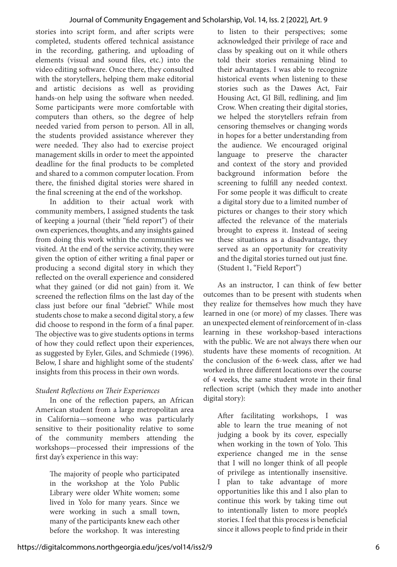stories into script form, and after scripts were completed, students offered technical assistance in the recording, gathering, and uploading of elements (visual and sound files, etc.) into the video editing software. Once there, they consulted with the storytellers, helping them make editorial and artistic decisions as well as providing hands-on help using the software when needed. Some participants were more comfortable with computers than others, so the degree of help needed varied from person to person. All in all, the students provided assistance wherever they were needed. They also had to exercise project management skills in order to meet the appointed deadline for the final products to be completed and shared to a common computer location. From there, the finished digital stories were shared in the final screening at the end of the workshop.

In addition to their actual work with community members, I assigned students the task of keeping a journal (their "field report") of their own experiences, thoughts, and any insights gained from doing this work within the communities we visited. At the end of the service activity, they were given the option of either writing a final paper or producing a second digital story in which they reflected on the overall experience and considered what they gained (or did not gain) from it. We screened the reflection films on the last day of the class just before our final "debrief." While most students chose to make a second digital story, a few did choose to respond in the form of a final paper. The objective was to give students options in terms of how they could reflect upon their experiences, as suggested by Eyler, Giles, and Schmiede (1996). Below, I share and highlight some of the students' insights from this process in their own words.

# *Student Reflections on Their Experiences*

In one of the reflection papers, an African American student from a large metropolitan area in California—someone who was particularly sensitive to their positionality relative to some of the community members attending the workshops—processed their impressions of the first day's experience in this way:

The majority of people who participated in the workshop at the Yolo Public Library were older White women; some lived in Yolo for many years. Since we were working in such a small town, many of the participants knew each other before the workshop. It was interesting

to listen to their perspectives; some acknowledged their privilege of race and class by speaking out on it while others told their stories remaining blind to their advantages. I was able to recognize historical events when listening to these stories such as the Dawes Act, Fair Housing Act, GI Bill, redlining, and Jim Crow. When creating their digital stories, we helped the storytellers refrain from censoring themselves or changing words in hopes for a better understanding from the audience. We encouraged original language to preserve the character and context of the story and provided background information before the screening to fulfill any needed context. For some people it was difficult to create a digital story due to a limited number of pictures or changes to their story which affected the relevance of the materials brought to express it. Instead of seeing these situations as a disadvantage, they served as an opportunity for creativity and the digital stories turned out just fine. (Student 1, "Field Report")

As an instructor, I can think of few better outcomes than to be present with students when they realize for themselves how much they have learned in one (or more) of my classes. There was an unexpected element of reinforcement of in-class learning in these workshop-based interactions with the public. We are not always there when our students have these moments of recognition. At the conclusion of the 6-week class, after we had worked in three different locations over the course of 4 weeks, the same student wrote in their final reflection script (which they made into another digital story):

After facilitating workshops, I was able to learn the true meaning of not judging a book by its cover, especially when working in the town of Yolo. This experience changed me in the sense that I will no longer think of all people of privilege as intentionally insensitive. I plan to take advantage of more opportunities like this and I also plan to continue this work by taking time out to intentionally listen to more people's stories. I feel that this process is beneficial since it allows people to find pride in their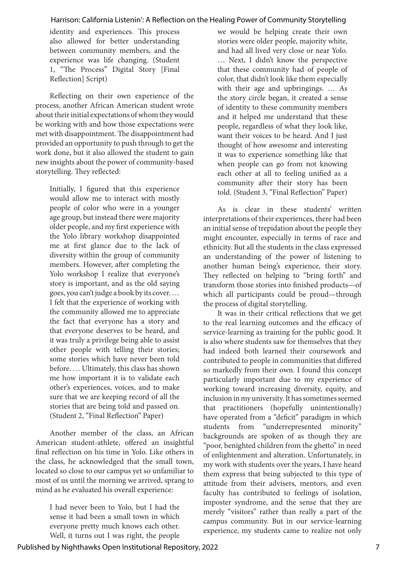identity and experiences. This process also allowed for better understanding between community members, and the experience was life changing. (Student 1, "The Process" Digital Story [Final Reflection] Script)

Reflecting on their own experience of the process, another African American student wrote about their initial expectations of whom they would be working with and how those expectations were met with disappointment. The disappointment had provided an opportunity to push through to get the work done, but it also allowed the student to gain new insights about the power of community-based storytelling. They reflected:

Initially, I figured that this experience would allow me to interact with mostly people of color who were in a younger age group, but instead there were majority older people, and my first experience with the Yolo library workshop disappointed me at first glance due to the lack of diversity within the group of community members. However, after completing the Yolo workshop I realize that everyone's story is important, and as the old saying goes, you can't judge a book by its cover. … I felt that the experience of working with the community allowed me to appreciate the fact that everyone has a story and that everyone deserves to be heard, and it was truly a privilege being able to assist other people with telling their stories; some stories which have never been told before. … Ultimately, this class has shown me how important it is to validate each other's experiences, voices, and to make sure that we are keeping record of all the stories that are being told and passed on. (Student 2, "Final Reflection" Paper)

Another member of the class, an African American student-athlete, offered an insightful final reflection on his time in Yolo. Like others in the class, he acknowledged that the small town, located so close to our campus yet so unfamiliar to most of us until the morning we arrived, sprang to mind as he evaluated his overall experience:

I had never been to Yolo, but I had the sense it had been a small town in which everyone pretty much knows each other. Well, it turns out I was right, the people

we would be helping create their own stories were older people, majority white, and had all lived very close or near Yolo. … Next, I didn't know the perspective that these community had of people of color, that didn't look like them especially with their age and upbringings. … As the story circle began, it created a sense of identity to these community members and it helped me understand that these people, regardless of what they look like, want their voices to be heard. And I just thought of how awesome and interesting it was to experience something like that when people can go from not knowing each other at all to feeling unified as a community after their story has been told. (Student 3, "Final Reflection" Paper)

As is clear in these students' written interpretations of their experiences, there had been an initial sense of trepidation about the people they might encounter, especially in terms of race and ethnicity. But all the students in the class expressed an understanding of the power of listening to another human being's experience, their story. They reflected on helping to "bring forth" and transform those stories into finished products—of which all participants could be proud—through the process of digital storytelling.

It was in their critical reflections that we get to the real learning outcomes and the efficacy of service-learning as training for the public good. It is also where students saw for themselves that they had indeed both learned their coursework and contributed to people in communities that differed so markedly from their own. I found this concept particularly important due to my experience of working toward increasing diversity, equity, and inclusion in my university. It has sometimes seemed that practitioners (hopefully unintentionally) have operated from a "deficit" paradigm in which students from "underrepresented minority" backgrounds are spoken of as though they are "poor, benighted children from the ghetto" in need of enlightenment and alteration. Unfortunately, in my work with students over the years, I have heard them express that being subjected to this type of attitude from their advisers, mentors, and even faculty has contributed to feelings of isolation, imposter syndrome, and the sense that they are merely "visitors" rather than really a part of the campus community. But in our service-learning experience, my students came to realize not only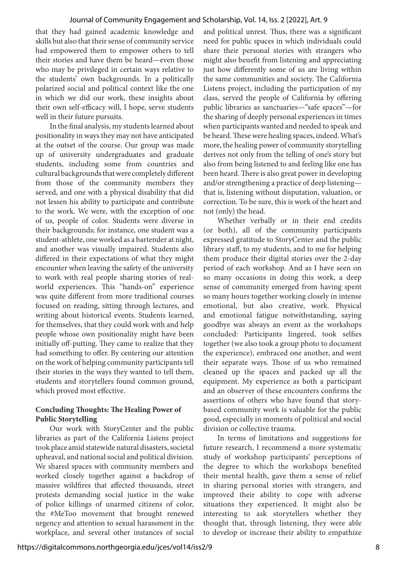that they had gained academic knowledge and skills but also that their sense of community service had empowered them to empower others to tell their stories and have them be heard—even those who may be privileged in certain ways relative to the students' own backgrounds. In a politically polarized social and political context like the one in which we did our work, these insights about their own self-efficacy will, I hope, serve students well in their future pursuits.

In the final analysis, my students learned about positionality in ways they may not have anticipated at the outset of the course. Our group was made up of university undergraduates and graduate students, including some from countries and cultural backgrounds that were completely different from those of the community members they served, and one with a physical disability that did not lessen his ability to participate and contribute to the work. We were, with the exception of one of us, people of color. Students were diverse in their backgrounds; for instance, one student was a student-athlete, one worked as a bartender at night, and another was visually impaired. Students also differed in their expectations of what they might encounter when leaving the safety of the university to work with real people sharing stories of realworld experiences. This "hands-on" experience was quite different from more traditional courses focused on reading, sitting through lectures, and writing about historical events. Students learned, for themselves, that they could work with and help people whose own positionality might have been initially off-putting. They came to realize that they had something to offer. By centering our attention on the work of helping community participants tell their stories in the ways they wanted to tell them, students and storytellers found common ground, which proved most effective.

## **Concluding Thoughts: The Healing Power of Public Storytelling**

Our work with StoryCenter and the public libraries as part of the California Listens project took place amid statewide natural disasters, societal upheaval, and national social and political division. We shared spaces with community members and worked closely together against a backdrop of massive wildfires that affected thousands, street protests demanding social justice in the wake of police killings of unarmed citizens of color, the #MeToo movement that brought renewed urgency and attention to sexual harassment in the workplace, and several other instances of social

and political unrest. Thus, there was a significant need for public spaces in which individuals could share their personal stories with strangers who might also benefit from listening and appreciating just how differently some of us are living within the same communities and society. The California Listens project, including the participation of my class, served the people of California by offering public libraries as sanctuaries—"safe spaces"—for the sharing of deeply personal experiences in times when participants wanted and needed to speak and be heard. These were healing spaces, indeed. What's more, the healing power of community storytelling derives not only from the telling of one's story but also from being listened to and feeling like one has been heard. There is also great power in developing and/or strengthening a practice of deep listening that is, listening without disputation, valuation, or correction. To be sure, this is work of the heart and not (only) the head.

Whether verbally or in their end credits (or both), all of the community participants expressed gratitude to StoryCenter and the public library staff, to my students, and to me for helping them produce their digital stories over the 2-day period of each workshop. And as I have seen on so many occasions in doing this work, a deep sense of community emerged from having spent so many hours together working closely in intense emotional, but also creative, work. Physical and emotional fatigue notwithstanding, saying goodbye was always an event as the workshops concluded: Participants lingered, took selfies together (we also took a group photo to document the experience), embraced one another, and went their separate ways. Those of us who remained cleaned up the spaces and packed up all the equipment. My experience as both a participant and an observer of these encounters confirms the assertions of others who have found that storybased community work is valuable for the public good, especially in moments of political and social division or collective trauma.

In terms of limitations and suggestions for future research, I recommend a more systematic study of workshop participants' perceptions of the degree to which the workshops benefited their mental health, gave them a sense of relief in sharing personal stories with strangers, and improved their ability to cope with adverse situations they experienced. It might also be interesting to ask storytellers whether they thought that, through listening, they were able to develop or increase their ability to empathize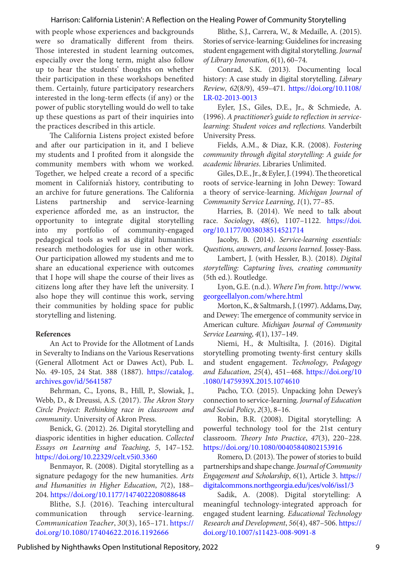with people whose experiences and backgrounds were so dramatically different from theirs. Those interested in student learning outcomes, especially over the long term, might also follow up to hear the students' thoughts on whether their participation in these workshops benefited them. Certainly, future participatory researchers interested in the long-term effects (if any) or the power of public storytelling would do well to take up these questions as part of their inquiries into the practices described in this article.

The California Listens project existed before and after our participation in it, and I believe my students and I profited from it alongside the community members with whom we worked. Together, we helped create a record of a specific moment in California's history, contributing to an archive for future generations. The California Listens partnership and service-learning experience afforded me, as an instructor, the opportunity to integrate digital storytelling into my portfolio of community-engaged pedagogical tools as well as digital humanities research methodologies for use in other work. Our participation allowed my students and me to share an educational experience with outcomes that I hope will shape the course of their lives as citizens long after they have left the university. I also hope they will continue this work, serving their communities by holding space for public storytelling and listening.

#### **References**

An Act to Provide for the Allotment of Lands in Severalty to Indians on the Various Reservations (General Allotment Act or Dawes Act), Pub. L. No. 49-105, 24 Stat. 388 (1887). [https://catalog.](https://catalog.archives.gov/id/5641587) [archives.gov/id/5641587](https://catalog.archives.gov/id/5641587)

Behrman, C., Lyons, B., Hill, P., Slowiak, J., Webb, D., & Dreussi, A.S. (2017). *The Akron Story Circle Project*: *Rethinking race in classroom and community*. University of Akron Press.

Benick, G. (2012). 26. Digital storytelling and diasporic identities in higher education. *Collected Essays on Learning and Teaching*, *5*, 147–152. <https://doi.org/10.22329/celt.v5i0.3360>

Benmayor, R. (2008). Digital storytelling as a signature pedagogy for the new humanities. *Arts and Humanities in Higher Education*, *7*(2), 188– 204. <https://doi.org/10.1177/1474022208088648>

Blithe, S.J. (2016). Teaching intercultural communication through service-learning. *Communication Teacher*, *30*(3), 165–171. [https://](https://doi.org/10.1080/17404622.2016.1192666) [doi.org/10.1080/17404622.2016.1192666](https://doi.org/10.1080/17404622.2016.1192666) 

Blithe, S.J., Carrera, W., & Medaille, A. (2015). Stories of service-learning: Guidelines for increasing student engagement with digital storytelling. *Journal of Library Innovation*, *6*(1), 60–74.

Conrad, S.K. (2013). Documenting local history: A case study in digital storytelling. *Library Review*, *62*(8/9), 459–471. [https://doi.org/10.1108/](https://doi.org/10.1108/LR-02-2013-0013 ) [LR-02-2013-0013](https://doi.org/10.1108/LR-02-2013-0013 ) 

Eyler, J.S., Giles, D.E., Jr., & Schmiede, A. (1996). *A practitioner's guide to reflection in servicelearning: Student voices and reflections.* Vanderbilt University Press.

Fields, A.M., & Diaz, K.R. (2008). *Fostering community through digital storytelling: A guide for academic libraries*. Libraries Unlimited.

Giles, D.E., Jr., & Eyler, J. (1994). The theoretical roots of service-learning in John Dewey: Toward a theory of service-learning. *Michigan Journal of Community Service Learning*, *1*(1), 77–85.

Harries, B. (2014). We need to talk about race. *Sociology*, *48*(6), 1107–1122. [https://doi.](https://doi.org/10.1177/0038038514521714 ) [org/10.1177/0038038514521714](https://doi.org/10.1177/0038038514521714 )

Jacoby, B. (2014). *Service-learning essentials: Questions, answers, and lessons learned*. Jossey-Bass.

Lambert, J. (with Hessler, B.). (2018). *Digital storytelling: Capturing lives, creating community*  (5th ed.). Routledge.

Lyon, G.E. (n.d.). *Where I'm from*. [http://www.](http://www.georgeellalyon.com/where.html  ) [georgeellalyon.com/where.html](http://www.georgeellalyon.com/where.html  ) 

Morton, K., & Saltmarsh, J. (1997). Addams, Day, and Dewey: The emergence of community service in American culture. *Michigan Journal of Community Service Learning*, *4*(1), 137–149.

Niemi, H., & Multisilta, J. (2016). Digital storytelling promoting twenty-first century skills and student engagement. *Technology*, *Pedagogy and Education*, *25*(4), 451–468. [https://doi.org/10](https://doi.org/10.1080/1475939X.2015.1074610  ) [.1080/1475939X.2015.1074610](https://doi.org/10.1080/1475939X.2015.1074610  ) 

Pacho, T.O. (2015). Unpacking John Dewey's connection to service-learning. *Journal of Education and Social Policy*, *2*(3), 8–16.

Robin, B.R. (2008). Digital storytelling: A powerful technology tool for the 21st century classroom. *Theory Into Practice*, *47*(3), 220–228. [https://doi.org/10.1080/00405840802153916](https://doi.org/10.1080/00405840802153916  ) 

Romero, D. (2013). The power of stories to build partnerships and shape change. *Journal of Community Engagement and Scholarship*, *6*(1), Article 3. [https://](https://digitalcommons.northgeorgia.edu/jces/vol6/iss1/3) [digitalcommons.northgeorgia.edu/jces/vol6/iss1/3](https://digitalcommons.northgeorgia.edu/jces/vol6/iss1/3)

Sadik, A. (2008). Digital storytelling: A meaningful technology-integrated approach for engaged student learning. *Educational Technology Research and Development*, *56*(4), 487–506. [https://](https://doi.org/10.1007/s11423-008-9091-8) [doi.org/10.1007/s11423-008-9091-8](https://doi.org/10.1007/s11423-008-9091-8)